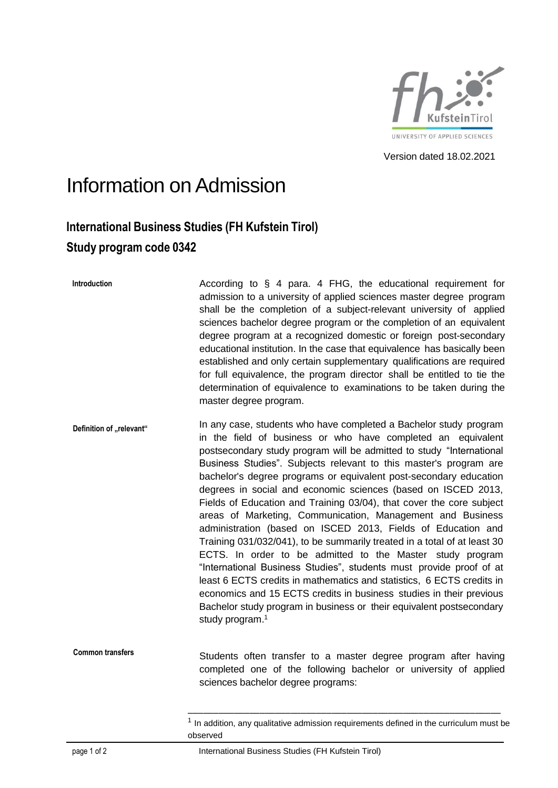

Version dated 18.02.2021

## Information on Admission

## **International Business Studies (FH Kufstein Tirol) Study program code 0342**

| Introduction             | According to $\S$ 4 para. 4 FHG, the educational requirement for<br>admission to a university of applied sciences master degree program<br>shall be the completion of a subject-relevant university of applied<br>sciences bachelor degree program or the completion of an equivalent<br>degree program at a recognized domestic or foreign post-secondary<br>educational institution. In the case that equivalence has basically been<br>established and only certain supplementary qualifications are required<br>for full equivalence, the program director shall be entitled to tie the<br>determination of equivalence to examinations to be taken during the<br>master degree program.                                                                                                                                                                                                                                                                                                                                                                                                      |
|--------------------------|---------------------------------------------------------------------------------------------------------------------------------------------------------------------------------------------------------------------------------------------------------------------------------------------------------------------------------------------------------------------------------------------------------------------------------------------------------------------------------------------------------------------------------------------------------------------------------------------------------------------------------------------------------------------------------------------------------------------------------------------------------------------------------------------------------------------------------------------------------------------------------------------------------------------------------------------------------------------------------------------------------------------------------------------------------------------------------------------------|
| Definition of "relevant" | In any case, students who have completed a Bachelor study program<br>in the field of business or who have completed an equivalent<br>postsecondary study program will be admitted to study "International<br>Business Studies". Subjects relevant to this master's program are<br>bachelor's degree programs or equivalent post-secondary education<br>degrees in social and economic sciences (based on ISCED 2013,<br>Fields of Education and Training 03/04), that cover the core subject<br>areas of Marketing, Communication, Management and Business<br>administration (based on ISCED 2013, Fields of Education and<br>Training 031/032/041), to be summarily treated in a total of at least 30<br>ECTS. In order to be admitted to the Master study program<br>"International Business Studies", students must provide proof of at<br>least 6 ECTS credits in mathematics and statistics, 6 ECTS credits in<br>economics and 15 ECTS credits in business studies in their previous<br>Bachelor study program in business or their equivalent postsecondary<br>study program. <sup>1</sup> |
| <b>Common transfers</b>  | Students often transfer to a master degree program after having<br>completed one of the following bachelor or university of applied<br>sciences bachelor degree programs:                                                                                                                                                                                                                                                                                                                                                                                                                                                                                                                                                                                                                                                                                                                                                                                                                                                                                                                         |

\_\_\_\_\_\_\_\_\_\_\_\_\_\_\_\_\_\_\_\_\_\_\_\_\_\_\_\_\_\_\_\_\_\_\_\_\_\_\_\_\_\_\_\_\_\_\_\_\_\_\_\_\_\_\_\_\_\_\_\_\_

 $1$  In addition, any qualitative admission requirements defined in the curriculum must be observed